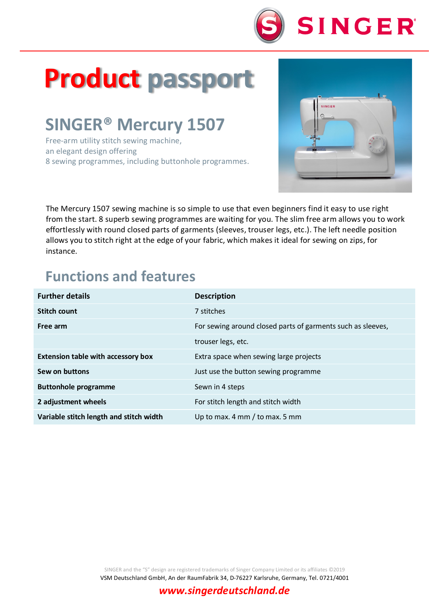

# **Product passport**

## **SINGER® Mercury 1507**

Free-arm utility stitch sewing machine, an elegant design offering 8 sewing programmes, including buttonhole programmes.



The Mercury 1507 sewing machine is so simple to use that even beginners find it easy to use right from the start. 8 superb sewing programmes are waiting for you. The slim free arm allows you to work effortlessly with round closed parts of garments (sleeves, trouser legs, etc.). The left needle position allows you to stitch right at the edge of your fabric, which makes it ideal for sewing on zips, for instance.

### **Functions and features**

| <b>Further details</b>                    | <b>Description</b>                                          |
|-------------------------------------------|-------------------------------------------------------------|
| Stitch count                              | 7 stitches                                                  |
| Free arm                                  | For sewing around closed parts of garments such as sleeves, |
|                                           | trouser legs, etc.                                          |
| <b>Extension table with accessory box</b> | Extra space when sewing large projects                      |
| Sew on buttons                            | Just use the button sewing programme                        |
| <b>Buttonhole programme</b>               | Sewn in 4 steps                                             |
| 2 adjustment wheels                       | For stitch length and stitch width                          |
| Variable stitch length and stitch width   | Up to max. 4 mm / to max. 5 mm                              |

SINGER and the "S" design are registered trademarks of Singer Company Limited or its affiliates ©2019

VSM Deutschland GmbH, An der RaumFabrik 34, D-76227 Karlsruhe, Germany, Tel. 0721/4001

#### *www.singerdeutschland.de*